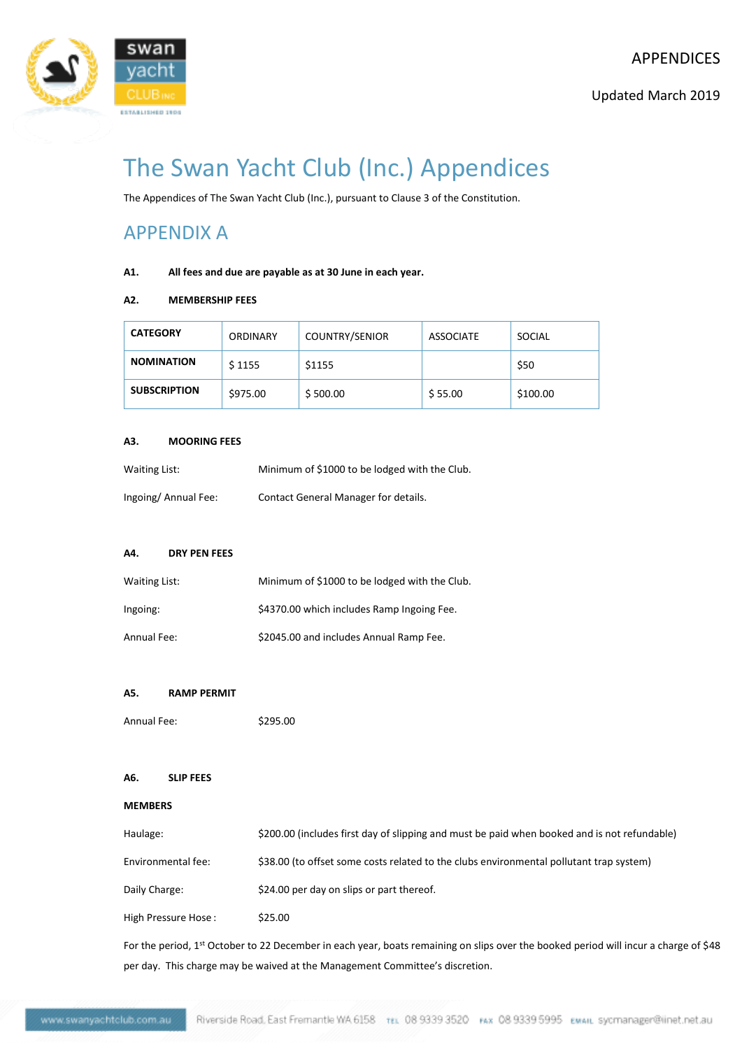

# The Swan Yacht Club (Inc.) Appendices

The Appendices of The Swan Yacht Club (Inc.), pursuant to Clause 3 of the Constitution.

## APPENDIX A

## **A1. All fees and due are payable as at 30 June in each year.**

## **A2. MEMBERSHIP FEES**

| <b>CATEGORY</b>     | ORDINARY | <b>COUNTRY/SENIOR</b> | ASSOCIATE | SOCIAL   |
|---------------------|----------|-----------------------|-----------|----------|
| <b>NOMINATION</b>   | \$1155   | \$1155                |           | \$50     |
| <b>SUBSCRIPTION</b> | \$975.00 | \$500.00              | \$55.00   | \$100.00 |

### **A3. MOORING FEES**

| Waiting List:       | Minimum of \$1000 to be lodged with the Club. |
|---------------------|-----------------------------------------------|
| Ingoing/Annual Fee: | Contact General Manager for details.          |

## **A4. DRY PEN FEES**

| Waiting List: | Minimum of \$1000 to be lodged with the Club. |
|---------------|-----------------------------------------------|
| Ingoing:      | \$4370.00 which includes Ramp Ingoing Fee.    |
| Annual Fee:   | \$2045.00 and includes Annual Ramp Fee.       |

## **A5. RAMP PERMIT**

Annual Fee: \$295.00

## **A6. SLIP FEES**

## **MEMBERS**

| Haulage:            | \$200.00 (includes first day of slipping and must be paid when booked and is not refundable) |
|---------------------|----------------------------------------------------------------------------------------------|
| Environmental fee:  | \$38.00 (to offset some costs related to the clubs environmental pollutant trap system)      |
| Daily Charge:       | \$24.00 per day on slips or part thereof.                                                    |
| High Pressure Hose: | \$25.00                                                                                      |

For the period, 1st October to 22 December in each year, boats remaining on slips over the booked period will incur a charge of \$48 per day. This charge may be waived at the Management Committee's discretion.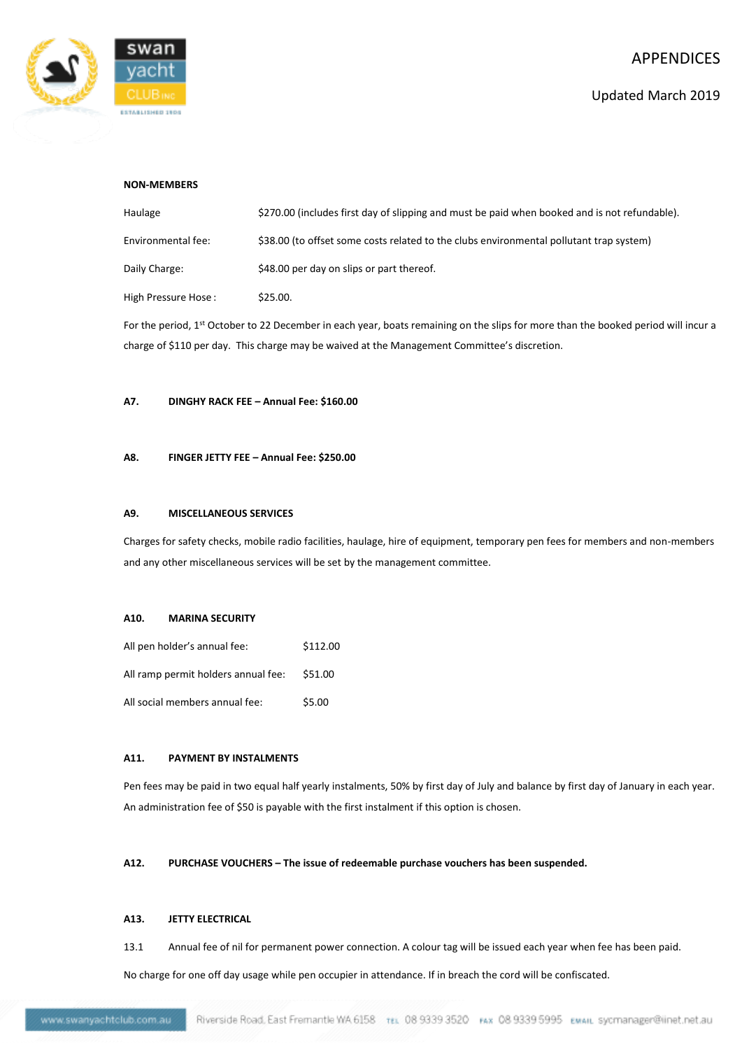

## **NON-MEMBERS**

| Haulage             | \$270.00 (includes first day of slipping and must be paid when booked and is not refundable). |
|---------------------|-----------------------------------------------------------------------------------------------|
| Environmental fee:  | \$38.00 (to offset some costs related to the clubs environmental pollutant trap system)       |
| Daily Charge:       | \$48.00 per day on slips or part thereof.                                                     |
| High Pressure Hose: | \$25.00.                                                                                      |

For the period, 1<sup>st</sup> October to 22 December in each year, boats remaining on the slips for more than the booked period will incur a charge of \$110 per day. This charge may be waived at the Management Committee's discretion.

### **A7. DINGHY RACK FEE – Annual Fee: \$160.00**

## **A8. FINGER JETTY FEE – Annual Fee: \$250.00**

#### **A9. MISCELLANEOUS SERVICES**

Charges for safety checks, mobile radio facilities, haulage, hire of equipment, temporary pen fees for members and non-members and any other miscellaneous services will be set by the management committee.

#### **A10. MARINA SECURITY**

| All pen holder's annual fee:        | \$112.00 |
|-------------------------------------|----------|
| All ramp permit holders annual fee: | \$51.00  |
| All social members annual fee:      | \$5.00   |

## **A11. PAYMENT BY INSTALMENTS**

Pen fees may be paid in two equal half yearly instalments, 50% by first day of July and balance by first day of January in each year. An administration fee of \$50 is payable with the first instalment if this option is chosen.

## **A12. PURCHASE VOUCHERS – The issue of redeemable purchase vouchers has been suspended.**

## **A13. JETTY ELECTRICAL**

13.1 Annual fee of nil for permanent power connection. A colour tag will be issued each year when fee has been paid.

No charge for one off day usage while pen occupier in attendance. If in breach the cord will be confiscated.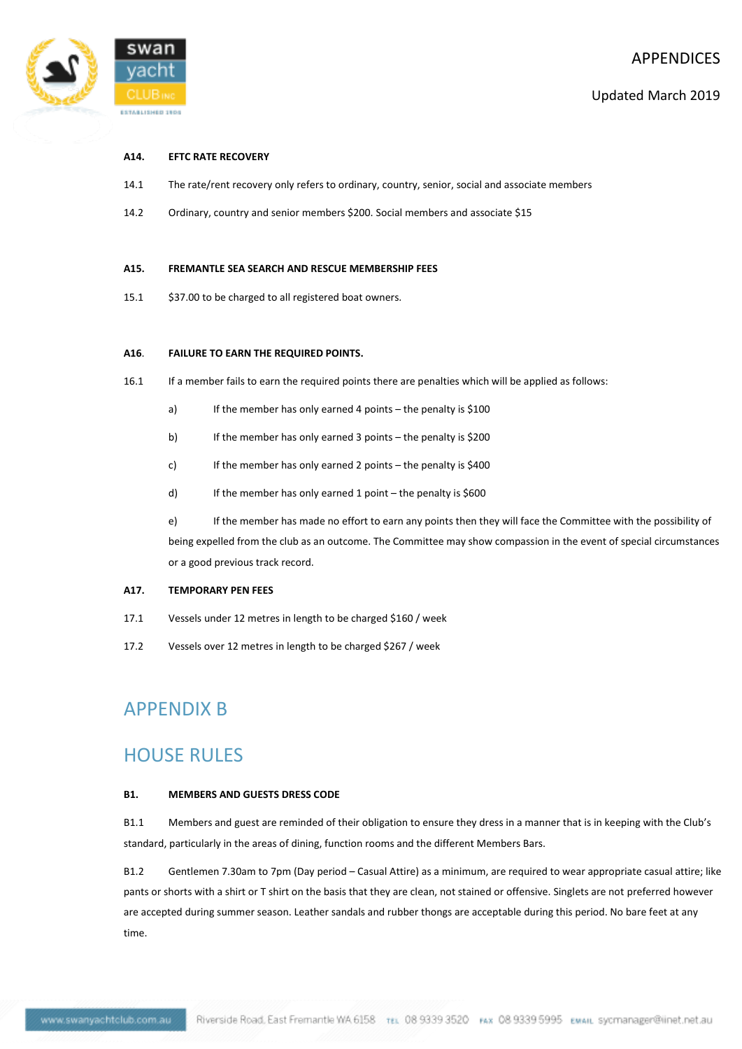

### **A14. EFTC RATE RECOVERY**

- 14.1 The rate/rent recovery only refers to ordinary, country, senior, social and associate members
- 14.2 Ordinary, country and senior members \$200. Social members and associate \$15

#### **A15. FREMANTLE SEA SEARCH AND RESCUE MEMBERSHIP FEES**

15.1 \$37.00 to be charged to all registered boat owners.

#### **A16**. **FAILURE TO EARN THE REQUIRED POINTS.**

- 16.1 If a member fails to earn the required points there are penalties which will be applied as follows:
	- a) If the member has only earned 4 points the penalty is \$100
	- b) If the member has only earned 3 points the penalty is \$200
	- c) If the member has only earned 2 points the penalty is \$400
	- d) If the member has only earned 1 point the penalty is \$600

e) If the member has made no effort to earn any points then they will face the Committee with the possibility of being expelled from the club as an outcome. The Committee may show compassion in the event of special circumstances or a good previous track record.

#### **A17. TEMPORARY PEN FEES**

- 17.1 Vessels under 12 metres in length to be charged \$160 / week
- 17.2 Vessels over 12 metres in length to be charged \$267 / week

## APPENDIX B

## HOUSE RULES

### **B1. MEMBERS AND GUESTS DRESS CODE**

B1.1 Members and guest are reminded of their obligation to ensure they dress in a manner that is in keeping with the Club's standard, particularly in the areas of dining, function rooms and the different Members Bars.

B1.2 Gentlemen 7.30am to 7pm (Day period – Casual Attire) as a minimum, are required to wear appropriate casual attire; like pants or shorts with a shirt or T shirt on the basis that they are clean, not stained or offensive. Singlets are not preferred however are accepted during summer season. Leather sandals and rubber thongs are acceptable during this period. No bare feet at any time.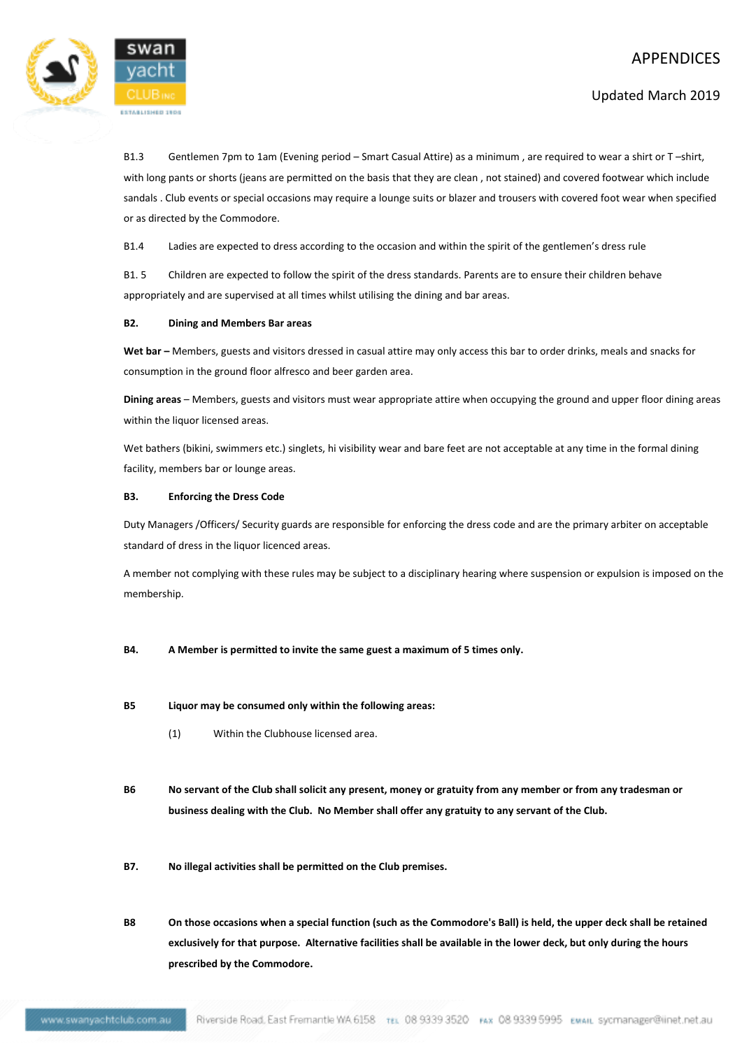

Updated March 2019

B1.3 Gentlemen 7pm to 1am (Evening period – Smart Casual Attire) as a minimum, are required to wear a shirt or T-shirt, with long pants or shorts (jeans are permitted on the basis that they are clean , not stained) and covered footwear which include sandals . Club events or special occasions may require a lounge suits or blazer and trousers with covered foot wear when specified or as directed by the Commodore.

B1.4 Ladies are expected to dress according to the occasion and within the spirit of the gentlemen's dress rule

B1. 5 Children are expected to follow the spirit of the dress standards. Parents are to ensure their children behave appropriately and are supervised at all times whilst utilising the dining and bar areas.

## **B2. Dining and Members Bar areas**

**Wet bar –** Members, guests and visitors dressed in casual attire may only access this bar to order drinks, meals and snacks for consumption in the ground floor alfresco and beer garden area.

**Dining areas** – Members, guests and visitors must wear appropriate attire when occupying the ground and upper floor dining areas within the liquor licensed areas.

Wet bathers (bikini, swimmers etc.) singlets, hi visibility wear and bare feet are not acceptable at any time in the formal dining facility, members bar or lounge areas.

## **B3. Enforcing the Dress Code**

Duty Managers /Officers/ Security guards are responsible for enforcing the dress code and are the primary arbiter on acceptable standard of dress in the liquor licenced areas.

A member not complying with these rules may be subject to a disciplinary hearing where suspension or expulsion is imposed on the membership.

- **B4. A Member is permitted to invite the same guest a maximum of 5 times only.**
- **B5 Liquor may be consumed only within the following areas:**
	- (1) Within the Clubhouse licensed area.
- **B6 No servant of the Club shall solicit any present, money or gratuity from any member or from any tradesman or business dealing with the Club. No Member shall offer any gratuity to any servant of the Club.**
- **B7. No illegal activities shall be permitted on the Club premises.**
- **B8 On those occasions when a special function (such as the Commodore's Ball) is held, the upper deck shall be retained exclusively for that purpose. Alternative facilities shall be available in the lower deck, but only during the hours prescribed by the Commodore.**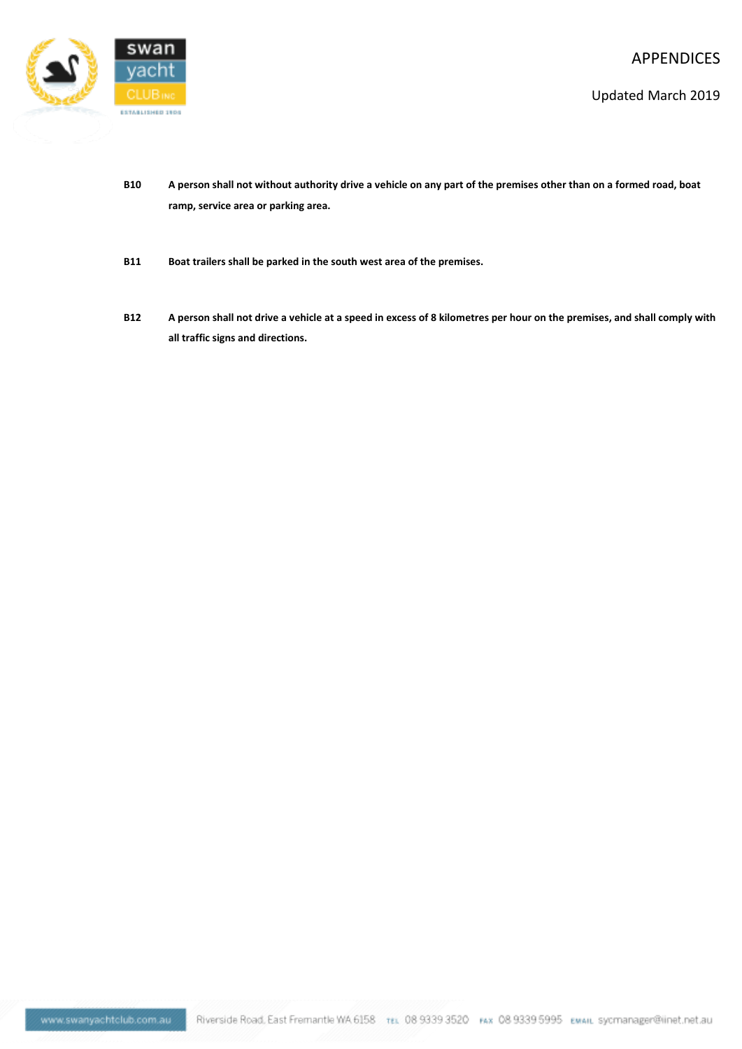

Updated March 2019

- **B10 A person shall not without authority drive a vehicle on any part of the premises other than on a formed road, boat ramp, service area or parking area.**
- **B11 Boat trailers shall be parked in the south west area of the premises.**
- **B12 A person shall not drive a vehicle at a speed in excess of 8 kilometres per hour on the premises, and shall comply with all traffic signs and directions.**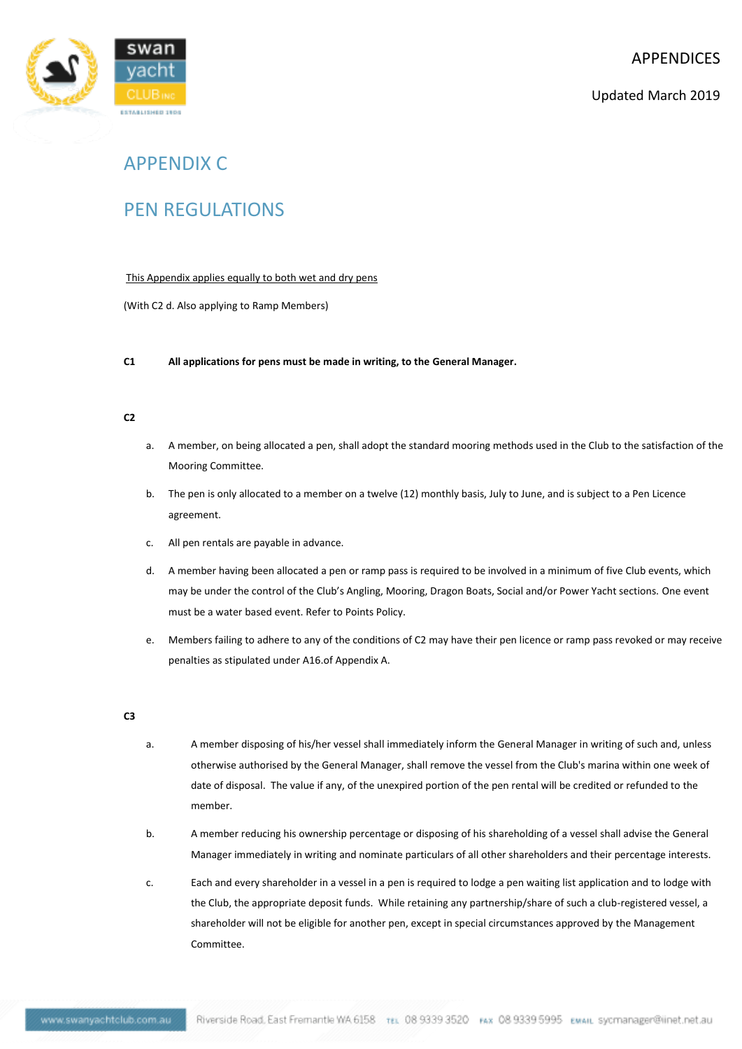

## APPENDIX C

## PEN REGULATIONS

## This Appendix applies equally to both wet and dry pens

(With C2 d. Also applying to Ramp Members)

## **C1 All applications for pens must be made in writing, to the General Manager.**

### **C2**

- a. A member, on being allocated a pen, shall adopt the standard mooring methods used in the Club to the satisfaction of the Mooring Committee.
- b. The pen is only allocated to a member on a twelve (12) monthly basis, July to June, and is subject to a Pen Licence agreement.
- c. All pen rentals are payable in advance.
- d. A member having been allocated a pen or ramp pass is required to be involved in a minimum of five Club events, which may be under the control of the Club's Angling, Mooring, Dragon Boats, Social and/or Power Yacht sections. One event must be a water based event. Refer to Points Policy.
- e. Members failing to adhere to any of the conditions of C2 may have their pen licence or ramp pass revoked or may receive penalties as stipulated under A16.of Appendix A.

#### **C3**

- a. A member disposing of his/her vessel shall immediately inform the General Manager in writing of such and, unless otherwise authorised by the General Manager, shall remove the vessel from the Club's marina within one week of date of disposal. The value if any, of the unexpired portion of the pen rental will be credited or refunded to the member.
- b. A member reducing his ownership percentage or disposing of his shareholding of a vessel shall advise the General Manager immediately in writing and nominate particulars of all other shareholders and their percentage interests.
- c. Each and every shareholder in a vessel in a pen is required to lodge a pen waiting list application and to lodge with the Club, the appropriate deposit funds. While retaining any partnership/share of such a club-registered vessel, a shareholder will not be eligible for another pen, except in special circumstances approved by the Management Committee.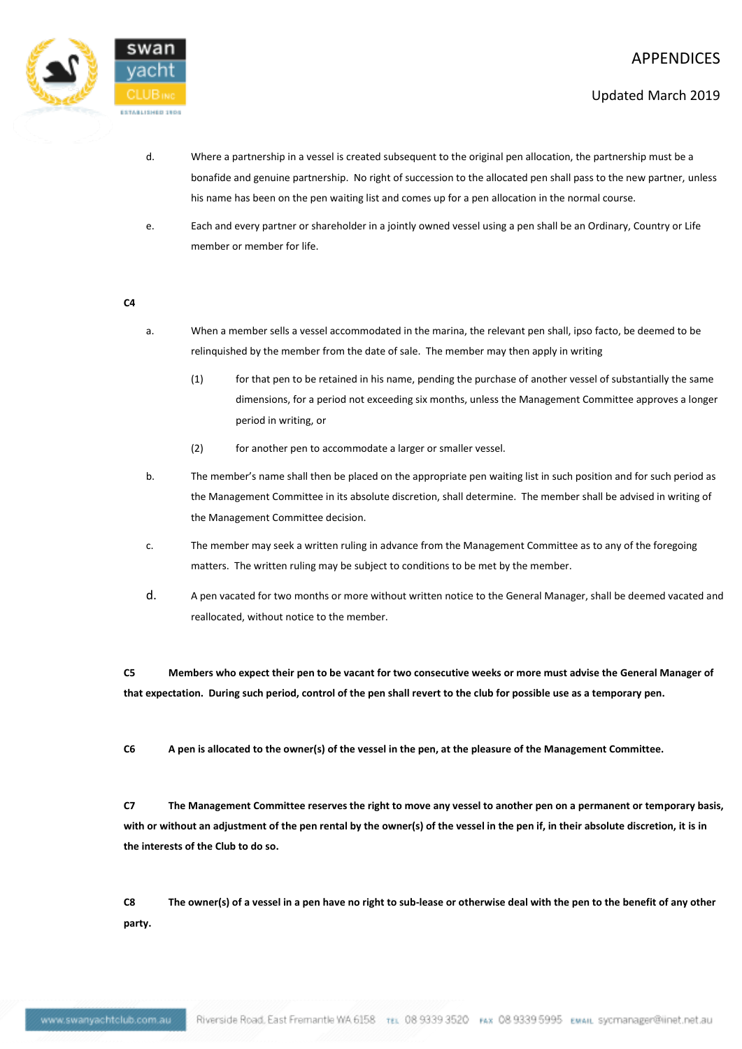

## Updated March 2019

- d. Where a partnership in a vessel is created subsequent to the original pen allocation, the partnership must be a bonafide and genuine partnership. No right of succession to the allocated pen shall pass to the new partner, unless his name has been on the pen waiting list and comes up for a pen allocation in the normal course.
- e. Each and every partner or shareholder in a jointly owned vessel using a pen shall be an Ordinary, Country or Life member or member for life.

#### **C4**

- a. When a member sells a vessel accommodated in the marina, the relevant pen shall, ipso facto, be deemed to be relinquished by the member from the date of sale. The member may then apply in writing
	- (1) for that pen to be retained in his name, pending the purchase of another vessel of substantially the same dimensions, for a period not exceeding six months, unless the Management Committee approves a longer period in writing, or
	- (2) for another pen to accommodate a larger or smaller vessel.
- b. The member's name shall then be placed on the appropriate pen waiting list in such position and for such period as the Management Committee in its absolute discretion, shall determine. The member shall be advised in writing of the Management Committee decision.
- c. The member may seek a written ruling in advance from the Management Committee as to any of the foregoing matters. The written ruling may be subject to conditions to be met by the member.
- d. A pen vacated for two months or more without written notice to the General Manager, shall be deemed vacated and reallocated, without notice to the member.

**C5 Members who expect their pen to be vacant for two consecutive weeks or more must advise the General Manager of that expectation. During such period, control of the pen shall revert to the club for possible use as a temporary pen.**

**C6 A pen is allocated to the owner(s) of the vessel in the pen, at the pleasure of the Management Committee.** 

**C7 The Management Committee reserves the right to move any vessel to another pen on a permanent or temporary basis, with or without an adjustment of the pen rental by the owner(s) of the vessel in the pen if, in their absolute discretion, it is in the interests of the Club to do so.**

**C8 The owner(s) of a vessel in a pen have no right to sub-lease or otherwise deal with the pen to the benefit of any other party.**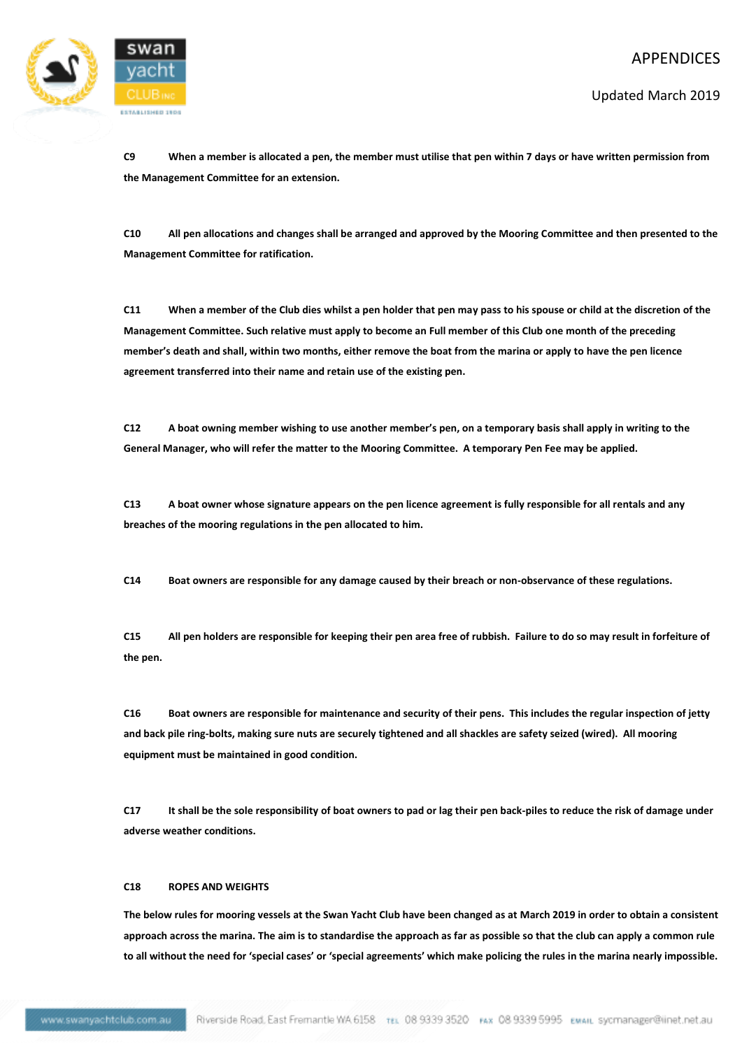

Updated March 2019

**C9 When a member is allocated a pen, the member must utilise that pen within 7 days or have written permission from the Management Committee for an extension.**

**C10 All pen allocations and changes shall be arranged and approved by the Mooring Committee and then presented to the Management Committee for ratification.**

**C11 When a member of the Club dies whilst a pen holder that pen may pass to his spouse or child at the discretion of the Management Committee. Such relative must apply to become an Full member of this Club one month of the preceding member's death and shall, within two months, either remove the boat from the marina or apply to have the pen licence agreement transferred into their name and retain use of the existing pen.**

**C12 A boat owning member wishing to use another member's pen, on a temporary basis shall apply in writing to the General Manager, who will refer the matter to the Mooring Committee. A temporary Pen Fee may be applied.**

**C13 A boat owner whose signature appears on the pen licence agreement is fully responsible for all rentals and any breaches of the mooring regulations in the pen allocated to him.**

**C14 Boat owners are responsible for any damage caused by their breach or non-observance of these regulations.**

**C15 All pen holders are responsible for keeping their pen area free of rubbish. Failure to do so may result in forfeiture of the pen.**

**C16 Boat owners are responsible for maintenance and security of their pens. This includes the regular inspection of jetty and back pile ring-bolts, making sure nuts are securely tightened and all shackles are safety seized (wired). All mooring equipment must be maintained in good condition.**

**C17 It shall be the sole responsibility of boat owners to pad or lag their pen back-piles to reduce the risk of damage under adverse weather conditions.**

#### **C18 ROPES AND WEIGHTS**

**The below rules for mooring vessels at the Swan Yacht Club have been changed as at March 2019 in order to obtain a consistent approach across the marina. The aim is to standardise the approach as far as possible so that the club can apply a common rule to all without the need for 'special cases' or 'special agreements' which make policing the rules in the marina nearly impossible.**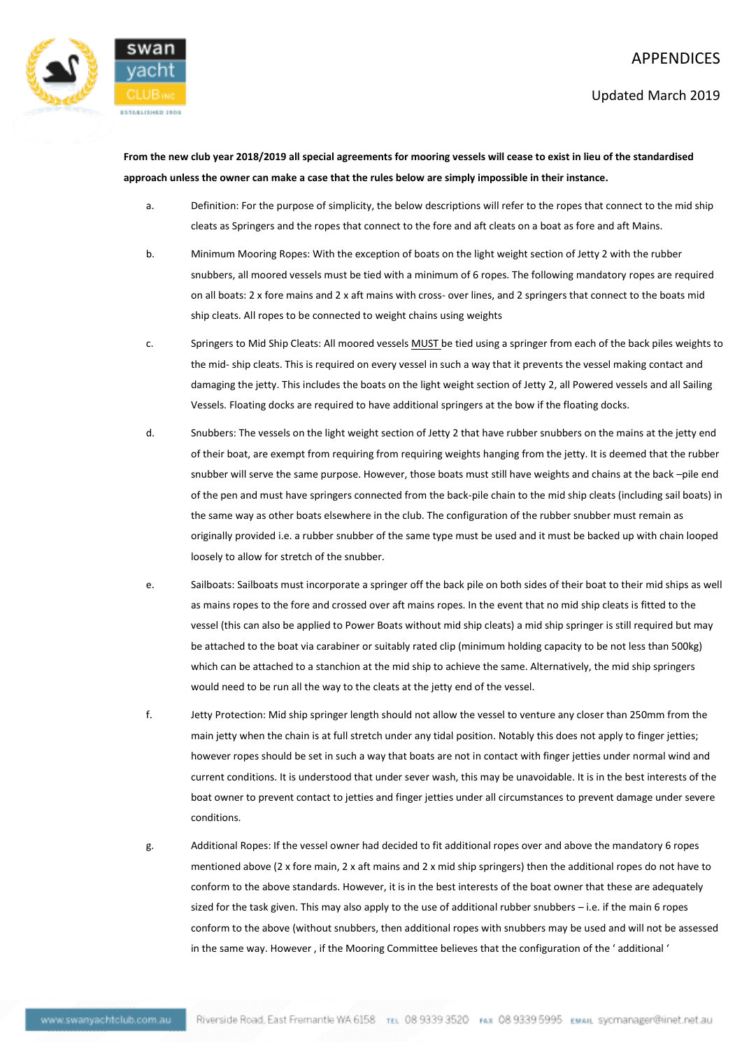

**From the new club year 2018/2019 all special agreements for mooring vessels will cease to exist in lieu of the standardised approach unless the owner can make a case that the rules below are simply impossible in their instance.**

- a. Definition: For the purpose of simplicity, the below descriptions will refer to the ropes that connect to the mid ship cleats as Springers and the ropes that connect to the fore and aft cleats on a boat as fore and aft Mains.
- b. Minimum Mooring Ropes: With the exception of boats on the light weight section of Jetty 2 with the rubber snubbers, all moored vessels must be tied with a minimum of 6 ropes. The following mandatory ropes are required on all boats: 2 x fore mains and 2 x aft mains with cross- over lines, and 2 springers that connect to the boats mid ship cleats. All ropes to be connected to weight chains using weights
- c. Springers to Mid Ship Cleats: All moored vessels **MUST** be tied using a springer from each of the back piles weights to the mid- ship cleats. This is required on every vessel in such a way that it prevents the vessel making contact and damaging the jetty. This includes the boats on the light weight section of Jetty 2, all Powered vessels and all Sailing Vessels. Floating docks are required to have additional springers at the bow if the floating docks.
- d. Snubbers: The vessels on the light weight section of Jetty 2 that have rubber snubbers on the mains at the jetty end of their boat, are exempt from requiring from requiring weights hanging from the jetty. It is deemed that the rubber snubber will serve the same purpose. However, those boats must still have weights and chains at the back –pile end of the pen and must have springers connected from the back-pile chain to the mid ship cleats (including sail boats) in the same way as other boats elsewhere in the club. The configuration of the rubber snubber must remain as originally provided i.e. a rubber snubber of the same type must be used and it must be backed up with chain looped loosely to allow for stretch of the snubber.
- e. Sailboats: Sailboats must incorporate a springer off the back pile on both sides of their boat to their mid ships as well as mains ropes to the fore and crossed over aft mains ropes. In the event that no mid ship cleats is fitted to the vessel (this can also be applied to Power Boats without mid ship cleats) a mid ship springer is still required but may be attached to the boat via carabiner or suitably rated clip (minimum holding capacity to be not less than 500kg) which can be attached to a stanchion at the mid ship to achieve the same. Alternatively, the mid ship springers would need to be run all the way to the cleats at the jetty end of the vessel.
- f. Jetty Protection: Mid ship springer length should not allow the vessel to venture any closer than 250mm from the main jetty when the chain is at full stretch under any tidal position. Notably this does not apply to finger jetties; however ropes should be set in such a way that boats are not in contact with finger jetties under normal wind and current conditions. It is understood that under sever wash, this may be unavoidable. It is in the best interests of the boat owner to prevent contact to jetties and finger jetties under all circumstances to prevent damage under severe conditions.
- g. Additional Ropes: If the vessel owner had decided to fit additional ropes over and above the mandatory 6 ropes mentioned above (2 x fore main, 2 x aft mains and 2 x mid ship springers) then the additional ropes do not have to conform to the above standards. However, it is in the best interests of the boat owner that these are adequately sized for the task given. This may also apply to the use of additional rubber snubbers – i.e. if the main 6 ropes conform to the above (without snubbers, then additional ropes with snubbers may be used and will not be assessed in the same way. However , if the Mooring Committee believes that the configuration of the ' additional '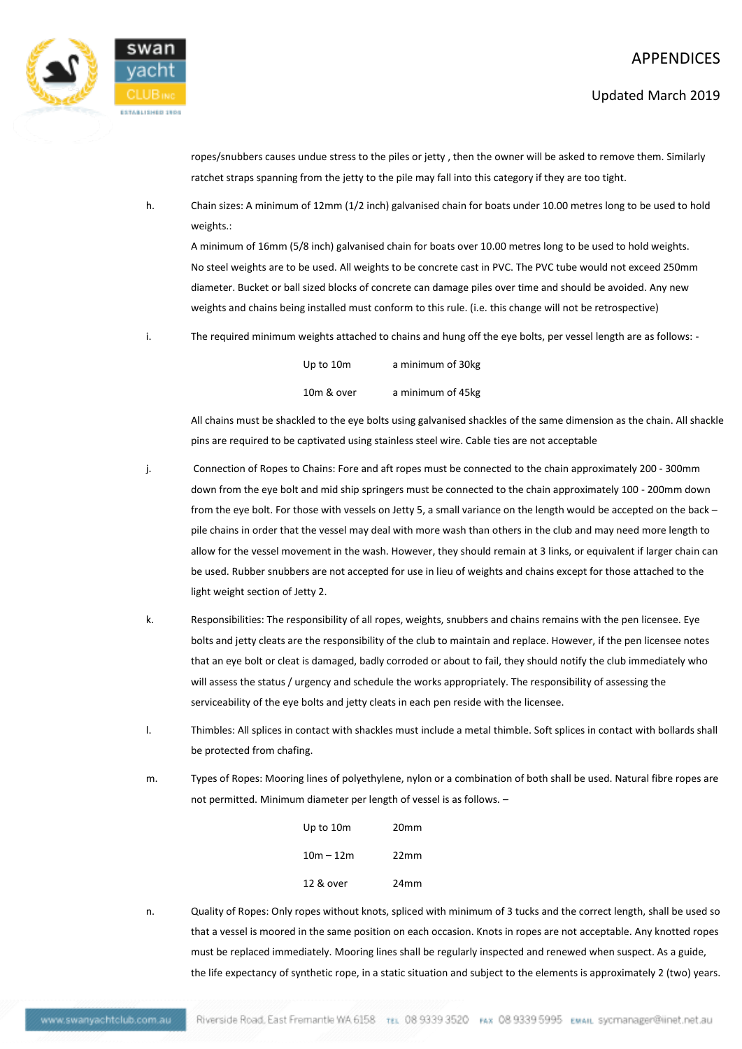

ropes/snubbers causes undue stress to the piles or jetty , then the owner will be asked to remove them. Similarly ratchet straps spanning from the jetty to the pile may fall into this category if they are too tight.

h. Chain sizes: A minimum of 12mm (1/2 inch) galvanised chain for boats under 10.00 metres long to be used to hold weights.:

A minimum of 16mm (5/8 inch) galvanised chain for boats over 10.00 metres long to be used to hold weights. No steel weights are to be used. All weights to be concrete cast in PVC. The PVC tube would not exceed 250mm diameter. Bucket or ball sized blocks of concrete can damage piles over time and should be avoided. Any new weights and chains being installed must conform to this rule. (i.e. this change will not be retrospective)

i. The required minimum weights attached to chains and hung off the eye bolts, per vessel length are as follows: -

| Up to 10m  | a minimum of 30kg |
|------------|-------------------|
| 10m & over | a minimum of 45kg |

All chains must be shackled to the eye bolts using galvanised shackles of the same dimension as the chain. All shackle pins are required to be captivated using stainless steel wire. Cable ties are not acceptable

j. Connection of Ropes to Chains: Fore and aft ropes must be connected to the chain approximately 200 - 300mm down from the eye bolt and mid ship springers must be connected to the chain approximately 100 - 200mm down from the eye bolt. For those with vessels on Jetty 5, a small variance on the length would be accepted on the back – pile chains in order that the vessel may deal with more wash than others in the club and may need more length to allow for the vessel movement in the wash. However, they should remain at 3 links, or equivalent if larger chain can be used. Rubber snubbers are not accepted for use in lieu of weights and chains except for those attached to the light weight section of Jetty 2.

- k. Responsibilities: The responsibility of all ropes, weights, snubbers and chains remains with the pen licensee. Eye bolts and jetty cleats are the responsibility of the club to maintain and replace. However, if the pen licensee notes that an eye bolt or cleat is damaged, badly corroded or about to fail, they should notify the club immediately who will assess the status / urgency and schedule the works appropriately. The responsibility of assessing the serviceability of the eye bolts and jetty cleats in each pen reside with the licensee.
- l. Thimbles: All splices in contact with shackles must include a metal thimble. Soft splices in contact with bollards shall be protected from chafing.
- m. Types of Ropes: Mooring lines of polyethylene, nylon or a combination of both shall be used. Natural fibre ropes are not permitted. Minimum diameter per length of vessel is as follows. –

| Up to 10m   | 20 <sub>mm</sub> |
|-------------|------------------|
| $10m - 12m$ | 22mm             |
| 12 & over   | 24mm             |

n. Quality of Ropes: Only ropes without knots, spliced with minimum of 3 tucks and the correct length, shall be used so that a vessel is moored in the same position on each occasion. Knots in ropes are not acceptable. Any knotted ropes must be replaced immediately. Mooring lines shall be regularly inspected and renewed when suspect. As a guide, the life expectancy of synthetic rope, in a static situation and subject to the elements is approximately 2 (two) years.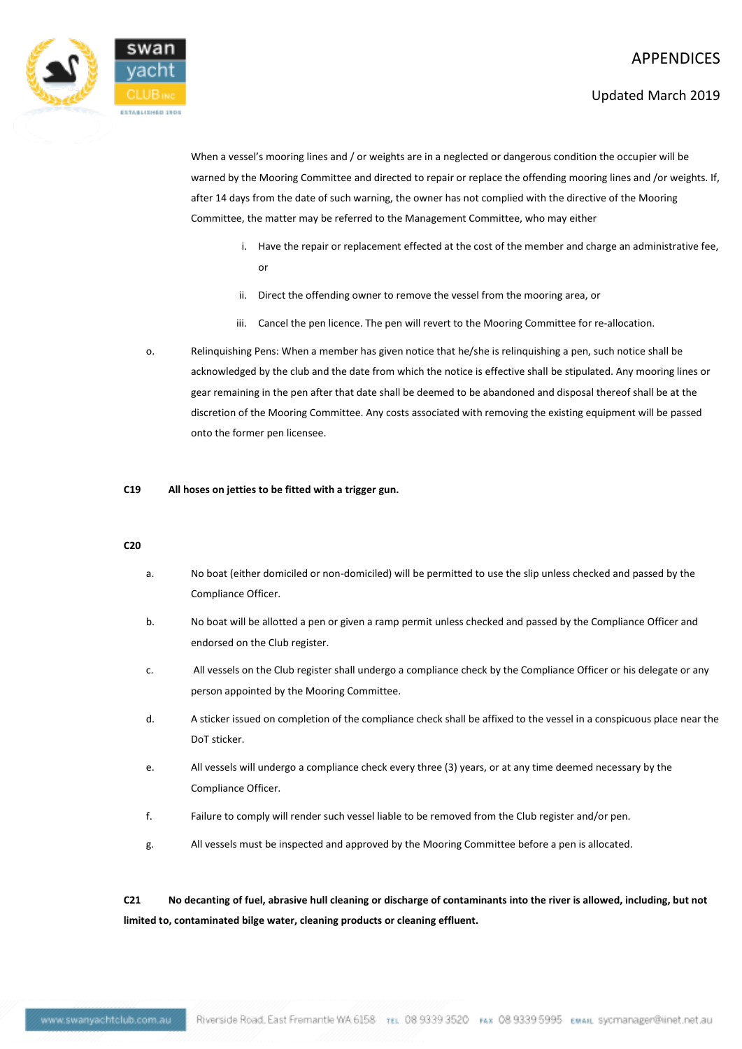

When a vessel's mooring lines and / or weights are in a neglected or dangerous condition the occupier will be warned by the Mooring Committee and directed to repair or replace the offending mooring lines and /or weights. If, after 14 days from the date of such warning, the owner has not complied with the directive of the Mooring Committee, the matter may be referred to the Management Committee, who may either

- i. Have the repair or replacement effected at the cost of the member and charge an administrative fee, or
- ii. Direct the offending owner to remove the vessel from the mooring area, or
- iii. Cancel the pen licence. The pen will revert to the Mooring Committee for re-allocation.
- o. Relinquishing Pens: When a member has given notice that he/she is relinquishing a pen, such notice shall be acknowledged by the club and the date from which the notice is effective shall be stipulated. Any mooring lines or gear remaining in the pen after that date shall be deemed to be abandoned and disposal thereof shall be at the discretion of the Mooring Committee. Any costs associated with removing the existing equipment will be passed onto the former pen licensee.

## **C19 All hoses on jetties to be fitted with a trigger gun.**

#### **C20**

- a. No boat (either domiciled or non-domiciled) will be permitted to use the slip unless checked and passed by the Compliance Officer.
- b. No boat will be allotted a pen or given a ramp permit unless checked and passed by the Compliance Officer and endorsed on the Club register.
- c. All vessels on the Club register shall undergo a compliance check by the Compliance Officer or his delegate or any person appointed by the Mooring Committee.
- d. A sticker issued on completion of the compliance check shall be affixed to the vessel in a conspicuous place near the DoT sticker.
- e. All vessels will undergo a compliance check every three (3) years, or at any time deemed necessary by the Compliance Officer.
- f. Failure to comply will render such vessel liable to be removed from the Club register and/or pen.
- g. All vessels must be inspected and approved by the Mooring Committee before a pen is allocated.

**C21 No decanting of fuel, abrasive hull cleaning or discharge of contaminants into the river is allowed, including, but not limited to, contaminated bilge water, cleaning products or cleaning effluent.**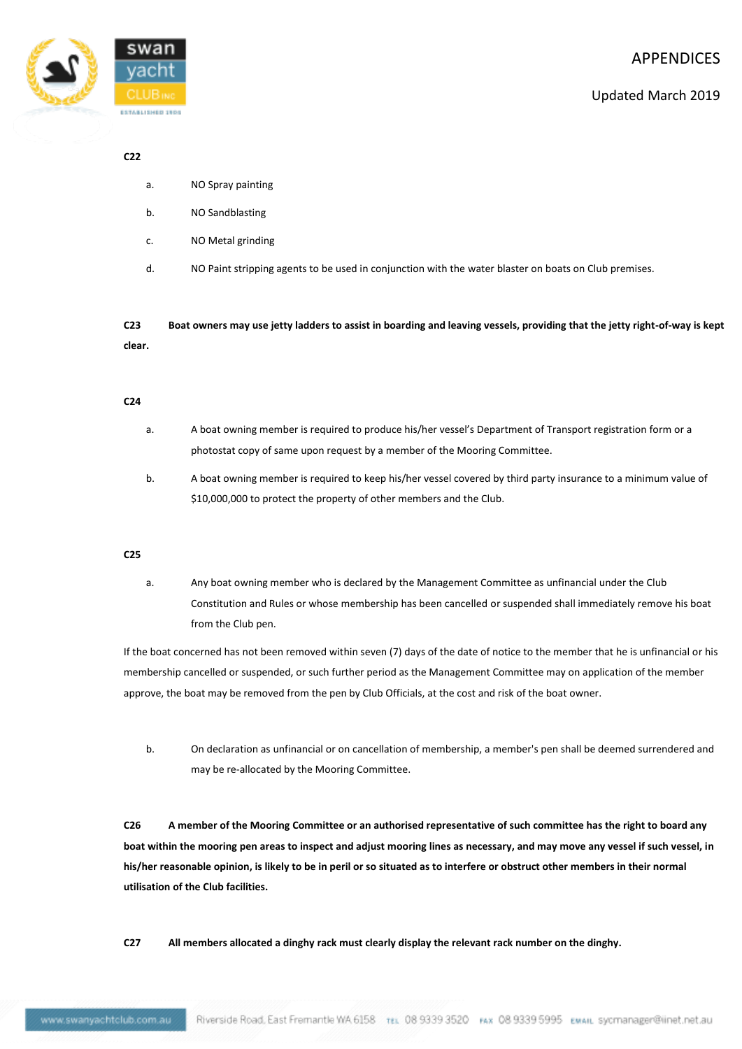

#### **C22**

- a. NO Spray painting
- b. NO Sandblasting
- c. NO Metal grinding
- d. NO Paint stripping agents to be used in conjunction with the water blaster on boats on Club premises.

**C23 Boat owners may use jetty ladders to assist in boarding and leaving vessels, providing that the jetty right-of-way is kept clear.**

#### **C24**

- a. A boat owning member is required to produce his/her vessel's Department of Transport registration form or a photostat copy of same upon request by a member of the Mooring Committee.
- b. A boat owning member is required to keep his/her vessel covered by third party insurance to a minimum value of \$10,000,000 to protect the property of other members and the Club.

#### **C25**

a. Any boat owning member who is declared by the Management Committee as unfinancial under the Club Constitution and Rules or whose membership has been cancelled or suspended shall immediately remove his boat from the Club pen.

If the boat concerned has not been removed within seven (7) days of the date of notice to the member that he is unfinancial or his membership cancelled or suspended, or such further period as the Management Committee may on application of the member approve, the boat may be removed from the pen by Club Officials, at the cost and risk of the boat owner.

b. On declaration as unfinancial or on cancellation of membership, a member's pen shall be deemed surrendered and may be re-allocated by the Mooring Committee.

**C26 A member of the Mooring Committee or an authorised representative of such committee has the right to board any boat within the mooring pen areas to inspect and adjust mooring lines as necessary, and may move any vessel if such vessel, in his/her reasonable opinion, is likely to be in peril or so situated as to interfere or obstruct other members in their normal utilisation of the Club facilities.**

**C27 All members allocated a dinghy rack must clearly display the relevant rack number on the dinghy.**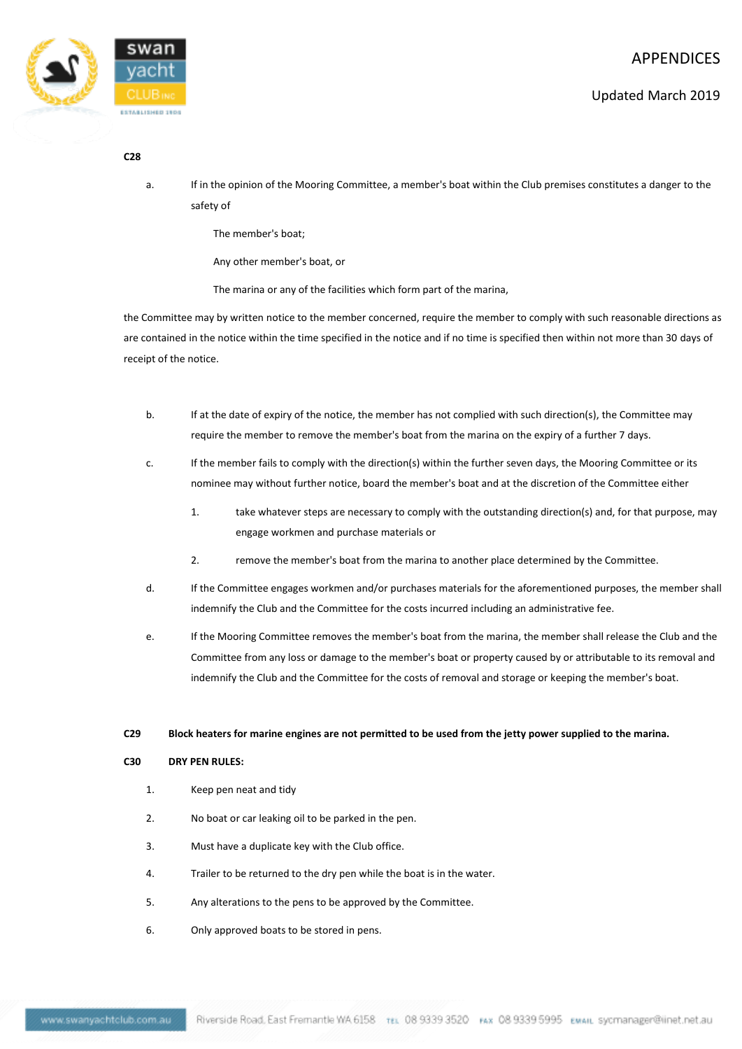



#### **C28**

a. If in the opinion of the Mooring Committee, a member's boat within the Club premises constitutes a danger to the safety of

The member's boat;

Any other member's boat, or

The marina or any of the facilities which form part of the marina,

the Committee may by written notice to the member concerned, require the member to comply with such reasonable directions as are contained in the notice within the time specified in the notice and if no time is specified then within not more than 30 days of receipt of the notice.

- b. If at the date of expiry of the notice, the member has not complied with such direction(s), the Committee may require the member to remove the member's boat from the marina on the expiry of a further 7 days.
- c. If the member fails to comply with the direction(s) within the further seven days, the Mooring Committee or its nominee may without further notice, board the member's boat and at the discretion of the Committee either
	- 1. take whatever steps are necessary to comply with the outstanding direction(s) and, for that purpose, may engage workmen and purchase materials or
	- 2. remove the member's boat from the marina to another place determined by the Committee.
- d. If the Committee engages workmen and/or purchases materials for the aforementioned purposes, the member shall indemnify the Club and the Committee for the costs incurred including an administrative fee.
- e. If the Mooring Committee removes the member's boat from the marina, the member shall release the Club and the Committee from any loss or damage to the member's boat or property caused by or attributable to its removal and indemnify the Club and the Committee for the costs of removal and storage or keeping the member's boat.

#### **C29 Block heaters for marine engines are not permitted to be used from the jetty power supplied to the marina.**

## **C30 DRY PEN RULES:**

- 1. Keep pen neat and tidy
- 2. No boat or car leaking oil to be parked in the pen.
- 3. Must have a duplicate key with the Club office.
- 4. Trailer to be returned to the dry pen while the boat is in the water.
- 5. Any alterations to the pens to be approved by the Committee.
- 6. Only approved boats to be stored in pens.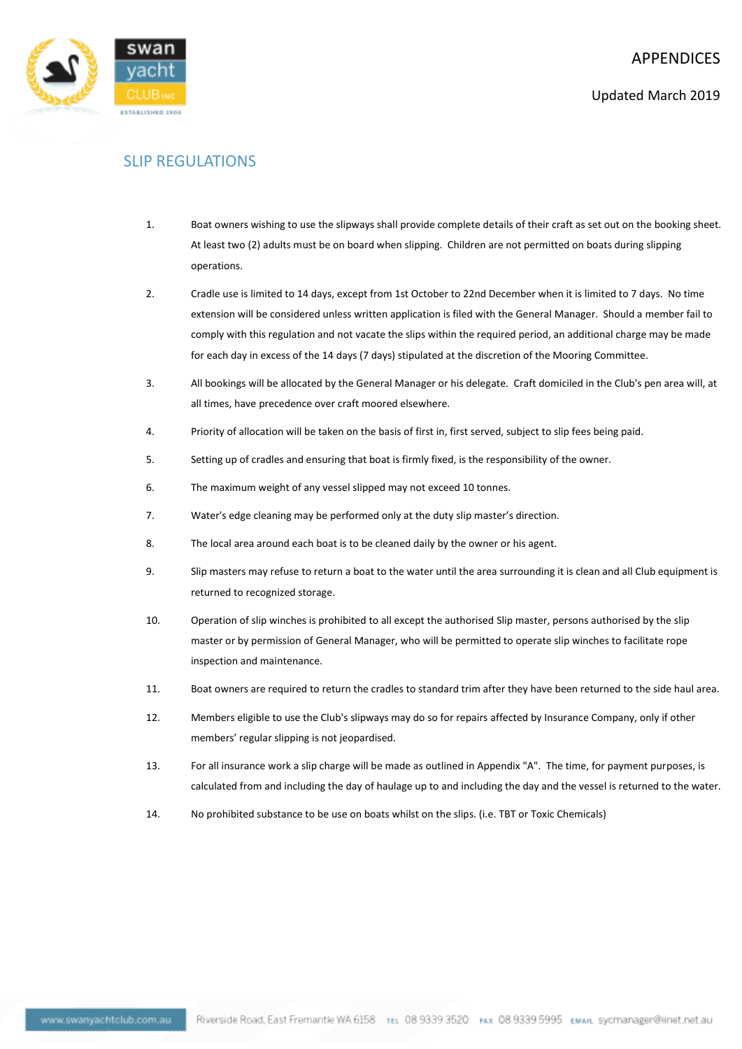

## SLIP REGULATIONS

- 1. Boat owners wishing to use the slipways shall provide complete details of their craft as set out on the booking sheet. At least two (2) adults must be on board when slipping. Children are not permitted on boats during slipping operations.
- 2. Cradle use is limited to 14 days, except from 1st October to 22nd December when it is limited to 7 days. No time extension will be considered unless written application is filed with the General Manager. Should a member fail to comply with this regulation and not vacate the slips within the required period, an additional charge may be made for each day in excess of the 14 days (7 days) stipulated at the discretion of the Mooring Committee.
- 3. All bookings will be allocated by the General Manager or his delegate. Craft domiciled in the Club's pen area will, at all times, have precedence over craft moored elsewhere.
- 4. Priority of allocation will be taken on the basis of first in, first served, subject to slip fees being paid.
- 5. Setting up of cradles and ensuring that boat is firmly fixed, is the responsibility of the owner.
- 6. The maximum weight of any vessel slipped may not exceed 10 tonnes.
- 7. Water's edge cleaning may be performed only at the duty slip master's direction.
- 8. The local area around each boat is to be cleaned daily by the owner or his agent.
- 9. Slip masters may refuse to return a boat to the water until the area surrounding it is clean and all Club equipment is returned to recognized storage.
- 10. Operation of slip winches is prohibited to all except the authorised Slip master, persons authorised by the slip master or by permission of General Manager, who will be permitted to operate slip winches to facilitate rope inspection and maintenance.
- 11. Boat owners are required to return the cradles to standard trim after they have been returned to the side haul area.
- 12. Members eligible to use the Club's slipways may do so for repairs affected by Insurance Company, only if other members' regular slipping is not jeopardised.
- 13. For all insurance work a slip charge will be made as outlined in Appendix "A". The time, for payment purposes, is calculated from and including the day of haulage up to and including the day and the vessel is returned to the water.
- 14. No prohibited substance to be use on boats whilst on the slips. (i.e. TBT or Toxic Chemicals)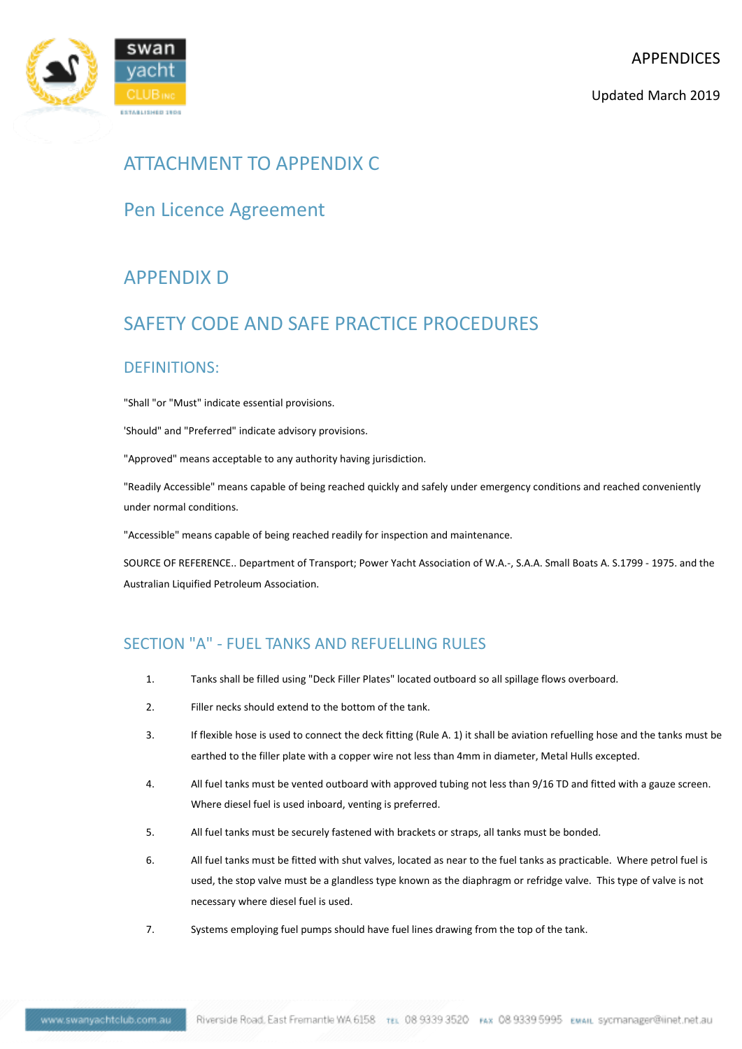Updated March 2019



## ATTACHMENT TO APPENDIX C

## Pen Licence Agreement

## APPENDIX D

## SAFETY CODE AND SAFE PRACTICE PROCEDURES

## DEFINITIONS:

"Shall "or "Must" indicate essential provisions.

'Should" and "Preferred" indicate advisory provisions.

"Approved" means acceptable to any authority having jurisdiction.

"Readily Accessible" means capable of being reached quickly and safely under emergency conditions and reached conveniently under normal conditions.

"Accessible" means capable of being reached readily for inspection and maintenance.

SOURCE OF REFERENCE.. Department of Transport; Power Yacht Association of W.A.-, S.A.A. Small Boats A. S.1799 - 1975. and the Australian Liquified Petroleum Association.

## SECTION "A" - FUEL TANKS AND REFUELLING RULES

- 1. Tanks shall be filled using "Deck Filler Plates" located outboard so all spillage flows overboard.
- 2. Filler necks should extend to the bottom of the tank.
- 3. If flexible hose is used to connect the deck fitting (Rule A. 1) it shall be aviation refuelling hose and the tanks must be earthed to the filler plate with a copper wire not less than 4mm in diameter, Metal Hulls excepted.
- 4. All fuel tanks must be vented outboard with approved tubing not less than 9/16 TD and fitted with a gauze screen. Where diesel fuel is used inboard, venting is preferred.
- 5. All fuel tanks must be securely fastened with brackets or straps, all tanks must be bonded.
- 6. All fuel tanks must be fitted with shut valves, located as near to the fuel tanks as practicable. Where petrol fuel is used, the stop valve must be a glandless type known as the diaphragm or refridge valve. This type of valve is not necessary where diesel fuel is used.
- 7. Systems employing fuel pumps should have fuel lines drawing from the top of the tank.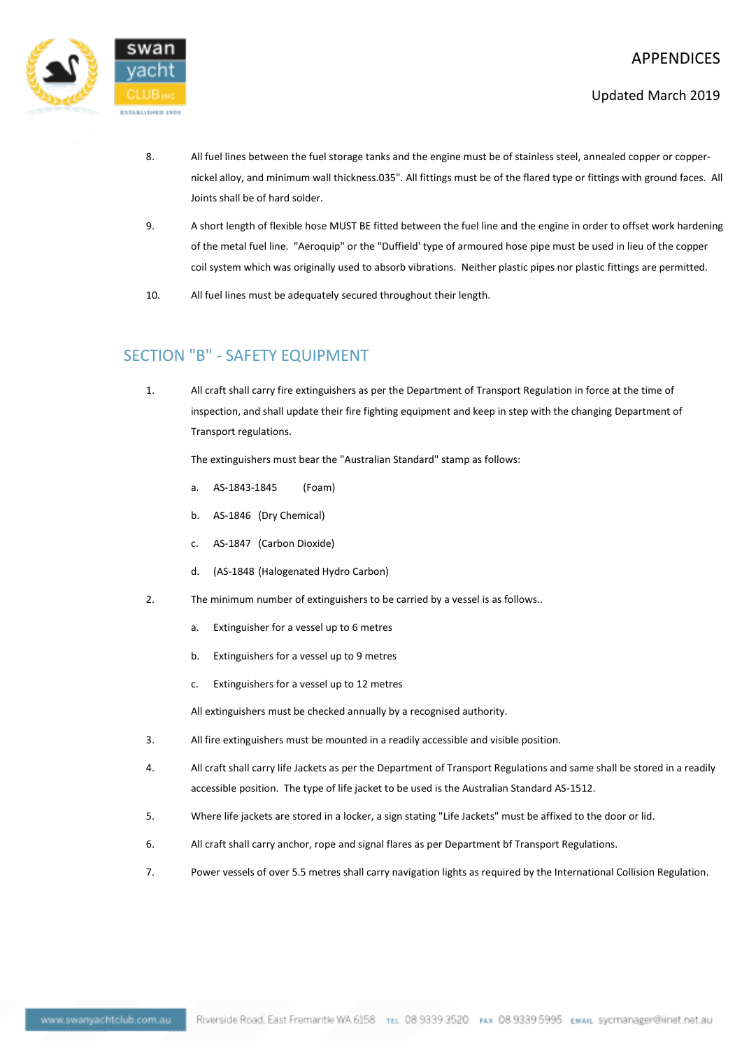

- Updated March 2019
- 8. All fuel lines between the fuel storage tanks and the engine must be of stainless steel, annealed copper or coppernickel alloy, and minimum wall thickness.035". All fittings must be of the flared type or fittings with ground faces. All Joints shall be of hard solder.
- 9. A short length of flexible hose MUST BE fitted between the fuel line and the engine in order to offset work hardening of the metal fuel line. "Aeroquip" or the "Duffield' type of armoured hose pipe must be used in lieu of the copper coil system which was originally used to absorb vibrations. Neither plastic pipes nor plastic fittings are permitted.
- 10. All fuel lines must be adequately secured throughout their length.

## SECTION "B" - SAFETY EQUIPMENT

1. All craft shall carry fire extinguishers as per the Department of Transport Regulation in force at the time of inspection, and shall update their fire fighting equipment and keep in step with the changing Department of Transport regulations.

The extinguishers must bear the "Australian Standard" stamp as follows:

- a. AS-1843-1845 (Foam)
- b. AS-1846 (Dry Chemical)
- c. AS-1847 (Carbon Dioxide)
- d. (AS-1848 (Halogenated Hydro Carbon)
- 2. The minimum number of extinguishers to be carried by a vessel is as follows..
	- a. Extinguisher for a vessel up to 6 metres
	- b. Extinguishers for a vessel up to 9 metres
	- c. Extinguishers for a vessel up to 12 metres

All extinguishers must be checked annually by a recognised authority.

- 3. All fire extinguishers must be mounted in a readily accessible and visible position.
- 4. All craft shall carry life Jackets as per the Department of Transport Regulations and same shall be stored in a readily accessible position. The type of life jacket to be used is the Australian Standard AS-1512.
- 5. Where life jackets are stored in a locker, a sign stating "Life Jackets" must be affixed to the door or lid.
- 6. All craft shall carry anchor, rope and signal flares as per Department bf Transport Regulations.
- 7. Power vessels of over 5.5 metres shall carry navigation lights as required by the International Collision Regulation.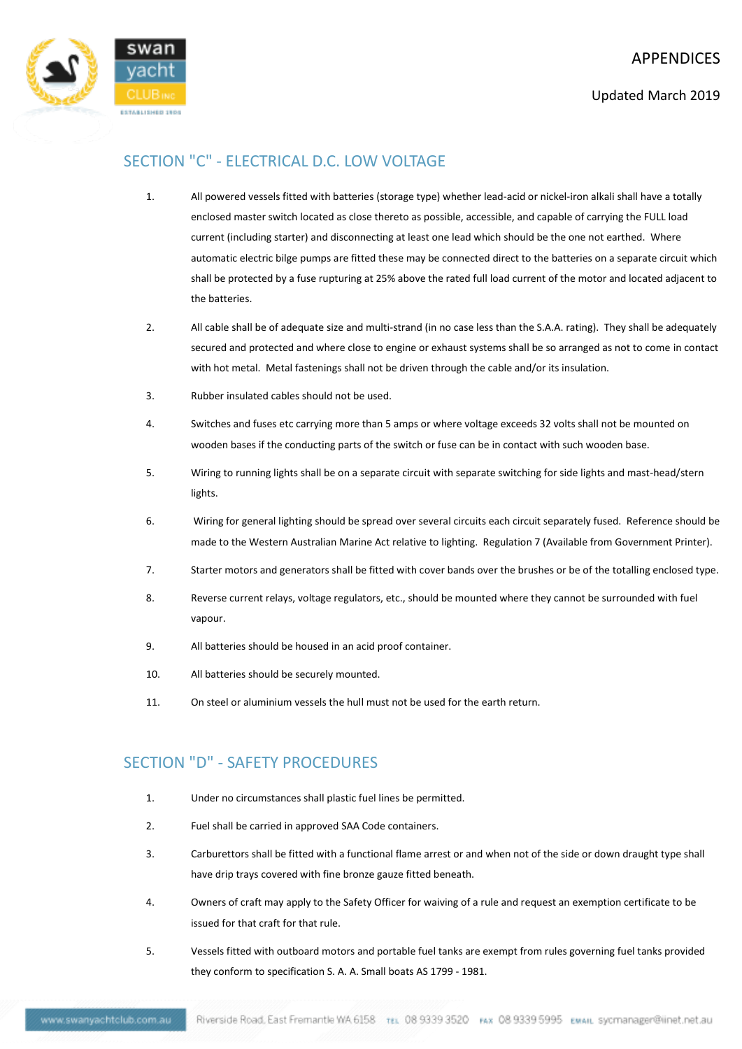

## SECTION "C" - ELECTRICAL D.C. LOW VOLTAGE

- 1. All powered vessels fitted with batteries (storage type) whether lead-acid or nickel-iron alkali shall have a totally enclosed master switch located as close thereto as possible, accessible, and capable of carrying the FULL load current (including starter) and disconnecting at least one lead which should be the one not earthed. Where automatic electric bilge pumps are fitted these may be connected direct to the batteries on a separate circuit which shall be protected by a fuse rupturing at 25% above the rated full load current of the motor and located adjacent to the batteries.
- 2. All cable shall be of adequate size and multi-strand (in no case less than the S.A.A. rating). They shall be adequately secured and protected and where close to engine or exhaust systems shall be so arranged as not to come in contact with hot metal. Metal fastenings shall not be driven through the cable and/or its insulation.
- 3. Rubber insulated cables should not be used.
- 4. Switches and fuses etc carrying more than 5 amps or where voltage exceeds 32 volts shall not be mounted on wooden bases if the conducting parts of the switch or fuse can be in contact with such wooden base.
- 5. Wiring to running lights shall be on a separate circuit with separate switching for side lights and mast-head/stern lights.
- 6. Wiring for general lighting should be spread over several circuits each circuit separately fused. Reference should be made to the Western Australian Marine Act relative to lighting. Regulation 7 (Available from Government Printer).
- 7. Starter motors and generators shall be fitted with cover bands over the brushes or be of the totalling enclosed type.
- 8. Reverse current relays, voltage regulators, etc., should be mounted where they cannot be surrounded with fuel vapour.
- 9. All batteries should be housed in an acid proof container.
- 10. All batteries should be securely mounted.
- 11. On steel or aluminium vessels the hull must not be used for the earth return.

## SECTION "D" - SAFETY PROCEDURES

- 1. Under no circumstances shall plastic fuel lines be permitted.
- 2. Fuel shall be carried in approved SAA Code containers.
- 3. Carburettors shall be fitted with a functional flame arrest or and when not of the side or down draught type shall have drip trays covered with fine bronze gauze fitted beneath.
- 4. Owners of craft may apply to the Safety Officer for waiving of a rule and request an exemption certificate to be issued for that craft for that rule.
- 5. Vessels fitted with outboard motors and portable fuel tanks are exempt from rules governing fuel tanks provided they conform to specification S. A. A. Small boats AS 1799 - 1981.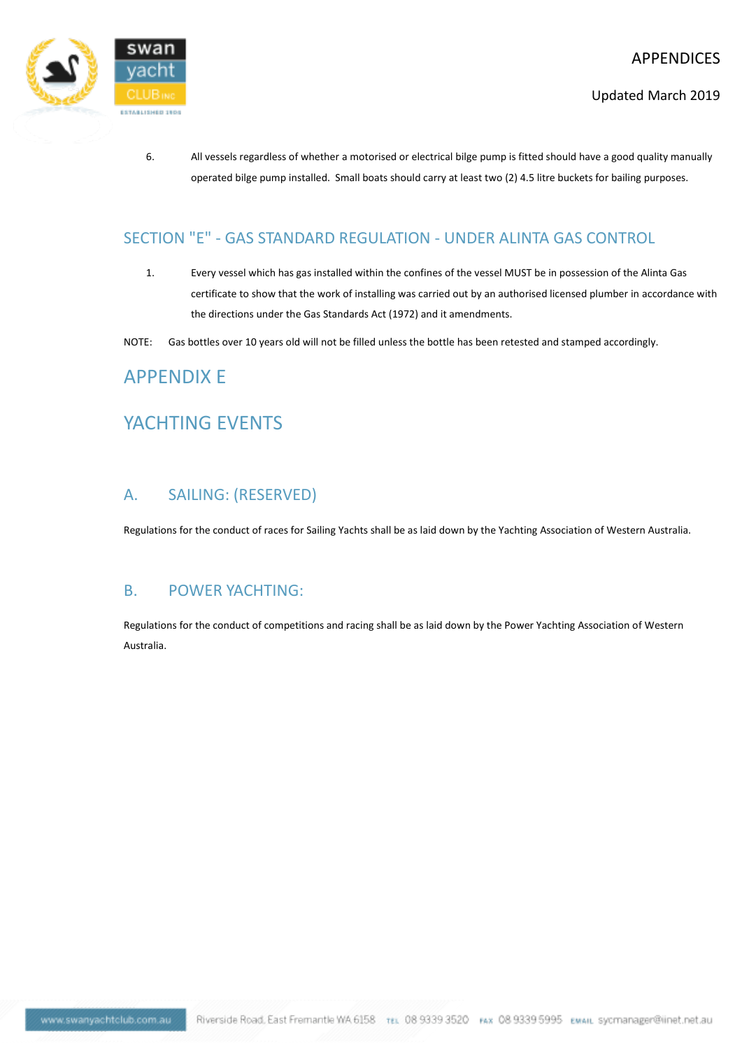

- Updated March 2019
- 6. All vessels regardless of whether a motorised or electrical bilge pump is fitted should have a good quality manually operated bilge pump installed. Small boats should carry at least two (2) 4.5 litre buckets for bailing purposes.

## SECTION "E" - GAS STANDARD REGULATION - UNDER ALINTA GAS CONTROL

- 1. Every vessel which has gas installed within the confines of the vessel MUST be in possession of the Alinta Gas certificate to show that the work of installing was carried out by an authorised licensed plumber in accordance with the directions under the Gas Standards Act (1972) and it amendments.
- NOTE: Gas bottles over 10 years old will not be filled unless the bottle has been retested and stamped accordingly.

## APPENDIX E

## YACHTING EVENTS

## A. SAILING: (RESERVED)

Regulations for the conduct of races for Sailing Yachts shall be as laid down by the Yachting Association of Western Australia.

## B. POWER YACHTING:

Regulations for the conduct of competitions and racing shall be as laid down by the Power Yachting Association of Western Australia.